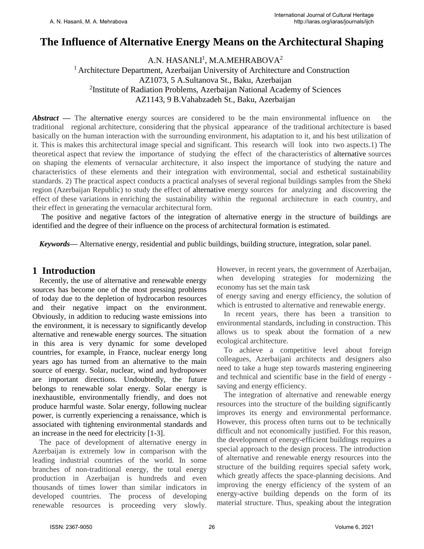# **The Influence of Alternative Energy Means on the Architectural Shaping**

A.N. HASAN $\rm L1^1$ , M.A.MEHRABOVA $^2$ <sup>1</sup> Architecture Department, Azerbaijan University of Architecture and Construction AZ1073, 5 A.Sultanova St., Baku, Azerbaijan <sup>2</sup>Institute of Radiation Problems, Azerbaijan National Academy of Sciences AZ1143, 9 B.Vahabzadeh St., Baku, Azerbaijan

*Abstract* — The alternative energy sources are considered to be the main environmental influence on the traditional regional architecture, considering that the physical appearance of the traditional architecture is based basically on the human interaction with the surrounding environment, his adaptation to it, and his best utilization of it. This is makes this architectural image special and significant. This research will look into two aspects.1) The theoretical aspect that review the importance of studying the effect of the characteristics of alternative sources on shaping the elements of vernacular architecture, it also inspect the importance of studying the nature and characteristics of these elements and their integration with environmental, social and esthetical sustainability standards. 2) The practical aspect conducts a practical analyses of several regional buildings samples from the Sheki region (Azerbaijan Republic) to study the effect of alternative energy sources for analyzing and discovering the effect of these variations in enriching the sustainability within the reguonal architecture in each country, and their effect in generating the vernacular architectural form.

The positive and negative factors of the integration of alternative energy in the structure of buildings are identified and the degree of their influence on the process of architectural formation is estimated.

*Keywords***—** Alternative energy, residential and public buildings, building structure, integration, solar panel.

### **1 Introduction**

Recently, the use of alternative and renewable energy sources has become one of the most pressing problems of today due to the depletion of hydrocarbon resources and their negative impact on the environment. Obviously, in addition to reducing waste emissions into the environment, it is necessary to significantly develop alternative and renewable energy sources. The situation in this area is very dynamic for some developed countries, for example, in France, nuclear energy long years ago has turned from an alternative to the main source of energy. Solar, nuclear, wind and hydropower are important directions. Undoubtedly, the future belongs to renewable solar energy. Solar energy is inexhaustible, environmentally friendly, and does not produce harmful waste. Solar energy, following nuclear power, is currently experiencing a renaissance, which is associated with tightening environmental standards and an increase in the need for electricity [1-3].

The pace of development of alternative energy in Azerbaijan is extremely low in comparison with the leading industrial countries of the world. In some branches of non-traditional energy, the total energy production in Azerbaijan is hundreds and even thousands of times lower than similar indicators in developed countries. The process of developing renewable resources is proceeding very slowly. However, in recent years, the government of Azerbaijan, when developing strategies for modernizing the economy has set the main task

of energy saving and energy efficiency, the solution of which is entrusted to alternative and renewable energy.

In recent years, there has been a transition to environmental standards, including in construction. This allows us to speak about the formation of a new ecological architecture.

To achieve a competitive level about foreign colleagues, Azerbaijani architects and designers also need to take a huge step towards mastering engineering and technical and scientific base in the field of energy saving and energy efficiency.

The integration of alternative and renewable energy resources into the structure of the building significantly improves its energy and environmental performance. However, this process often turns out to be technically difficult and not economically justified. For this reason, the development of energy-efficient buildings requires a special approach to the design process. The introduction of alternative and renewable energy resources into the structure of the building requires special safety work, which greatly affects the space-planning decisions. And improving the energy efficiency of the system of an energy-active building depends on the form of its material structure. Thus, speaking about the integration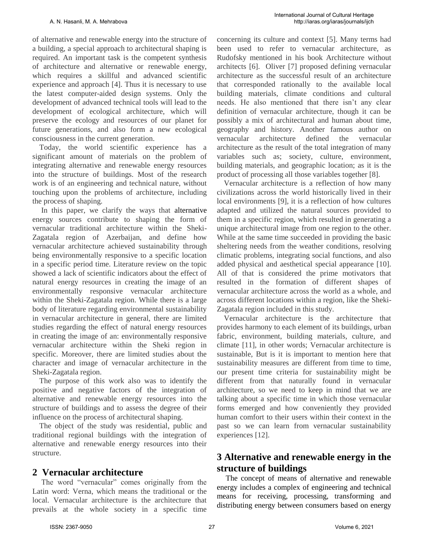of alternative and renewable energy into the structure of a building, a special approach to architectural shaping is required. An important task is the competent synthesis of architecture and alternative or renewable energy, which requires a skillful and advanced scientific experience and approach [4]. Thus it is necessary to use the latest computer-aided design systems. Only the development of advanced technical tools will lead to the development of ecological architecture, which will preserve the ecology and resources of our planet for future generations, and also form a new ecological consciousness in the current generation.

Today, the world scientific experience has a significant amount of materials on the problem of integrating alternative and renewable energy resources into the structure of buildings. Most of the research work is of an engineering and technical nature, without touching upon the problems of architecture, including the process of shaping.

In this paper, we clarify the ways that alternative energy sources contribute to shaping the form of vernacular traditional architecture within the Sheki-Zagatala region of Azerbaijan, and define how vernacular architecture achieved sustainability through being environmentally responsive to a specific location in a specific period time. Literature review on the topic showed a lack of scientific indicators about the effect of natural energy resources in creating the image of an environmentally responsive vernacular architecture within the Sheki-Zagatala region. While there is a large body of literature regarding environmental sustainability in vernacular architecture in general, there are limited studies regarding the effect of natural energy resources in creating the image of an: environmentally responsive vernacular architecture within the Sheki region in specific. Moreover, there are limited studies about the character and image of vernacular architecture in the Sheki-Zagatala region.

The purpose of this work also was to identify the positive and negative factors of the integration of alternative and renewable energy resources into the structure of buildings and to assess the degree of their influence on the process of architectural shaping.

The object of the study was residential, public and traditional regional buildings with the integration of alternative and renewable energy resources into their structure.

## **2 Vernacular architecture**

The word "vernacular" comes originally from the Latin word: Verna, which means the traditional or the local. Vernacular architecture is the architecture that prevails at the whole society in a specific time

concerning its culture and context [5]. Many terms had been used to refer to vernacular architecture, as Rudofsky mentioned in his book Architecture without architects [6]. Oliver [7] proposed defining vernacular architecture as the successful result of an architecture that corresponded rationally to the available local building materials, climate conditions and cultural needs. He also mentioned that there isn't any clear definition of vernacular architecture, though it can be possibly a mix of architectural and human about time, geography and history. Another famous author on vernacular architecture defined the vernacular architecture as the result of the total integration of many variables such as; society, culture, environment, building materials, and geographic location; as it is the product of processing all those variables together [8].

Vernacular architecture is a reflection of how many civilizations across the world historically lived in their local environments [9], it is a reflection of how cultures adapted and utilized the natural sources provided to them in a specific region, which resulted in generating a unique architectural image from one region to the other. While at the same time succeeded in providing the basic sheltering needs from the weather conditions, resolving climatic problems, integrating social functions, and also added physical and aesthetical special appearance [10]. All of that is considered the prime motivators that resulted in the formation of different shapes of vernacular architecture across the world as a whole, and across different locations within a region, like the Sheki-Zagatala region included in this study.

Vernacular architecture is the architecture that provides harmony to each element of its buildings, urban fabric, environment, building materials, culture, and climate [11], in other words; Vernacular architecture is sustainable, But is it is important to mention here that sustainability measures are different from time to time, our present time criteria for sustainability might be different from that naturally found in vernacular architecture, so we need to keep in mind that we are talking about a specific time in which those vernacular forms emerged and how conveniently they provided human comfort to their users within their context in the past so we can learn from vernacular sustainability experiences [12].

# **3 Alternative and renewable energy in the structure of buildings**

The concept of means of alternative and renewable energy includes a complex of engineering and technical means for receiving, processing, transforming and distributing energy between consumers based on energy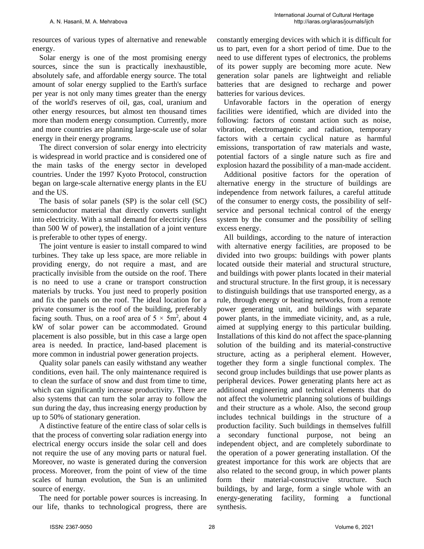resources of various types of alternative and renewable energy.

Solar energy is one of the most promising energy sources, since the sun is practically inexhaustible, absolutely safe, and affordable energy source. The total amount of solar energy supplied to the Earth's surface per year is not only many times greater than the energy of the world's reserves of oil, gas, coal, uranium and other energy resources, but almost ten thousand times more than modern energy consumption. Currently, more and more countries are planning large-scale use of solar energy in their energy programs.

The direct conversion of solar energy into electricity is widespread in world practice and is considered one of the main tasks of the energy sector in developed countries. Under the 1997 Kyoto Protocol, construction began on large-scale alternative energy plants in the EU and the US.

The basis of solar panels (SP) is the solar cell (SC) semiconductor material that directly converts sunlight into electricity. With a small demand for electricity (less than 500 W of power), the installation of a joint venture is preferable to other types of energy.

The joint venture is easier to install compared to wind turbines. They take up less space, are more reliable in providing energy, do not require a mast, and are practically invisible from the outside on the roof. There is no need to use a crane or transport construction materials by trucks. You just need to properly position and fix the panels on the roof. The ideal location for a private consumer is the roof of the building, preferably facing south. Thus, on a roof area of  $5 \times 5m^2$ , about 4 kW of solar power can be accommodated. Ground placement is also possible, but in this case a large open area is needed. In practice, land-based placement is more common in industrial power generation projects.

Quality solar panels can easily withstand any weather conditions, even hail. The only maintenance required is to clean the surface of snow and dust from time to time, which can significantly increase productivity. There are also systems that can turn the solar array to follow the sun during the day, thus increasing energy production by up to 50% of stationary generation.

A distinctive feature of the entire class of solar cells is that the process of converting solar radiation energy into electrical energy occurs inside the solar cell and does not require the use of any moving parts or natural fuel. Moreover, no waste is generated during the conversion process. Moreover, from the point of view of the time scales of human evolution, the Sun is an unlimited source of energy.

The need for portable power sources is increasing. In our life, thanks to technological progress, there are constantly emerging devices with which it is difficult for us to part, even for a short period of time. Due to the need to use different types of electronics, the problems of its power supply are becoming more acute. New generation solar panels are lightweight and reliable batteries that are designed to recharge and power batteries for various devices.

Unfavorable factors in the operation of energy facilities were identified, which are divided into the following: factors of constant action such as noise, vibration, electromagnetic and radiation, temporary factors with a certain cyclical nature as harmful emissions, transportation of raw materials and waste, potential factors of a single nature such as fire and explosion hazard the possibility of a man-made accident.

Additional positive factors for the operation of alternative energy in the structure of buildings are independence from network failures, a careful attitude of the consumer to energy costs, the possibility of selfservice and personal technical control of the energy system by the consumer and the possibility of selling excess energy.

All buildings, according to the nature of interaction with alternative energy facilities, are proposed to be divided into two groups: buildings with power plants located outside their material and structural structure, and buildings with power plants located in their material and structural structure. In the first group, it is necessary to distinguish buildings that use transported energy, as a rule, through energy or heating networks, from a remote power generating unit, and buildings with separate power plants, in the immediate vicinity, and, as a rule, aimed at supplying energy to this particular building. Installations of this kind do not affect the space-planning solution of the building and its material-constructive structure, acting as a peripheral element. However, together they form a single functional complex. The second group includes buildings that use power plants as peripheral devices. Power generating plants here act as additional engineering and technical elements that do not affect the volumetric planning solutions of buildings and their structure as a whole. Also, the second group includes technical buildings in the structure of a production facility. Such buildings in themselves fulfill a secondary functional purpose, not being an independent object, and are completely subordinate to the operation of a power generating installation. Of the greatest importance for this work are objects that are also related to the second group, in which power plants form their material-constructive structure. Such buildings, by and large, form a single whole with an energy-generating facility, forming a functional synthesis.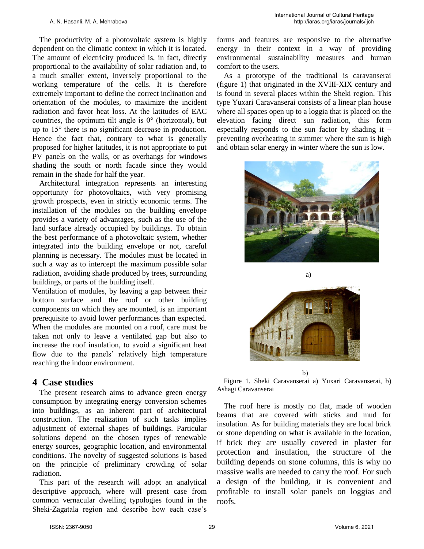The productivity of a photovoltaic system is highly dependent on the climatic context in which it is located. The amount of electricity produced is, in fact, directly proportional to the availability of solar radiation and, to a much smaller extent, inversely proportional to the working temperature of the cells. It is therefore extremely important to define the correct inclination and orientation of the modules, to maximize the incident radiation and favor heat loss. At the latitudes of EAC countries, the optimum tilt angle is  $0^{\circ}$  (horizontal), but up to 15° there is no significant decrease in production. Hence the fact that, contrary to what is generally proposed for higher latitudes, it is not appropriate to put PV panels on the walls, or as overhangs for windows shading the south or north facade since they would remain in the shade for half the year.

Architectural integration represents an interesting opportunity for photovoltaics, with very promising growth prospects, even in strictly economic terms. The installation of the modules on the building envelope provides a variety of advantages, such as the use of the land surface already occupied by buildings. To obtain the best performance of a photovoltaic system, whether integrated into the building envelope or not, careful planning is necessary. The modules must be located in such a way as to intercept the maximum possible solar radiation, avoiding shade produced by trees, surrounding buildings, or parts of the building itself.

Ventilation of modules, by leaving a gap between their bottom surface and the roof or other building components on which they are mounted, is an important prerequisite to avoid lower performances than expected. When the modules are mounted on a roof, care must be taken not only to leave a ventilated gap but also to increase the roof insulation, to avoid a significant heat flow due to the panels' relatively high temperature reaching the indoor environment.

### **4 Case studies**

The present research aims to advance green energy consumption by integrating energy conversion schemes into buildings, as an inherent part of architectural construction. The realization of such tasks implies adjustment of external shapes of buildings. Particular solutions depend on the chosen types of renewable energy sources, geographic location, and environmental conditions. The novelty of suggested solutions is based on the principle of preliminary crowding of solar radiation.

This part of the research will adopt an analytical descriptive approach, where will present case from common vernacular dwelling typologies found in the Sheki-Zagatala region and describe how each case's forms and features are responsive to the alternative energy in their context in a way of providing environmental sustainability measures and human comfort to the users.

As a prototype of the traditional is caravanserai (figure 1) that originated in the XVIII-XIX century and is found in several places within the Sheki region. This type Yuxari Caravanserai consists of a linear plan house where all spaces open up to a loggia that is placed on the elevation facing direct sun radiation, this form especially responds to the sun factor by shading it  $$ preventing overheating in summer where the sun is high and obtain solar energy in winter where the sun is low.





 b) Figure 1. Sheki Caravanserai a) Yuxari Caravanserai, b) Ashagi Caravanserai

The roof here is mostly no flat, made of wooden beams that are covered with sticks and mud for insulation. As for building materials they are local brick or stone depending on what is available in the location, if brick they are usually covered in plaster for protection and insulation, the structure of the building depends on stone columns, this is why no massive walls are needed to carry the roof. For such a design of the building, it is convenient and profitable to install solar panels on loggias and roofs.